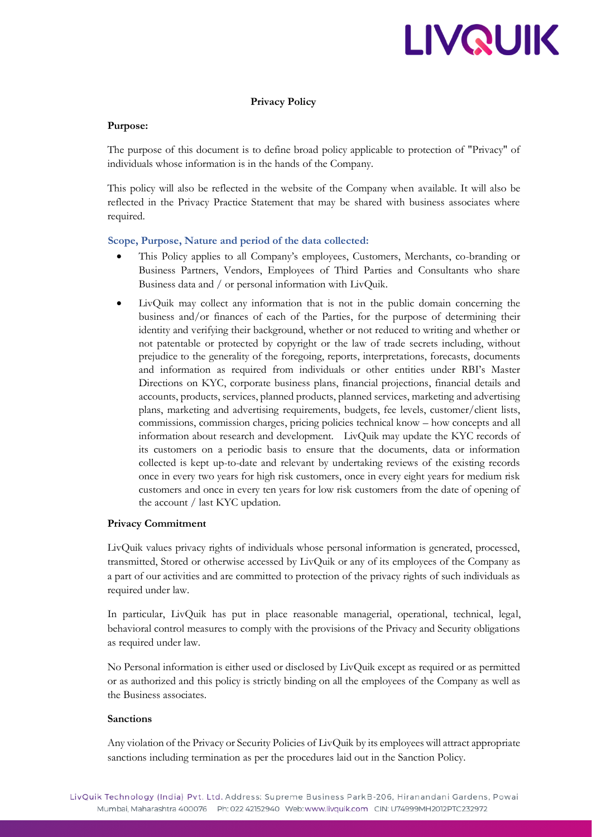# LIVQUIK

# **Privacy Policy**

## **Purpose:**

The purpose of this document is to define broad policy applicable to protection of "Privacy" of individuals whose information is in the hands of the Company.

This policy will also be reflected in the website of the Company when available. It will also be reflected in the Privacy Practice Statement that may be shared with business associates where required.

## **Scope, Purpose, Nature and period of the data collected:**

- This Policy applies to all Company's employees, Customers, Merchants, co-branding or Business Partners, Vendors, Employees of Third Parties and Consultants who share Business data and / or personal information with LivQuik.
- LivQuik may collect any information that is not in the public domain concerning the business and/or finances of each of the Parties, for the purpose of determining their identity and verifying their background, whether or not reduced to writing and whether or not patentable or protected by copyright or the law of trade secrets including, without prejudice to the generality of the foregoing, reports, interpretations, forecasts, documents and information as required from individuals or other entities under RBI's Master Directions on KYC, corporate business plans, financial projections, financial details and accounts, products, services, planned products, planned services, marketing and advertising plans, marketing and advertising requirements, budgets, fee levels, customer/client lists, commissions, commission charges, pricing policies technical know – how concepts and all information about research and development. LivQuik may update the KYC records of its customers on a periodic basis to ensure that the documents, data or information collected is kept up-to-date and relevant by undertaking reviews of the existing records once in every two years for high risk customers, once in every eight years for medium risk customers and once in every ten years for low risk customers from the date of opening of the account / last KYC updation.

# **Privacy Commitment**

LivQuik values privacy rights of individuals whose personal information is generated, processed, transmitted, Stored or otherwise accessed by LivQuik or any of its employees of the Company as a part of our activities and are committed to protection of the privacy rights of such individuals as required under law.

In particular, LivQuik has put in place reasonable managerial, operational, technical, legal, behavioral control measures to comply with the provisions of the Privacy and Security obligations as required under law.

No Personal information is either used or disclosed by LivQuik except as required or as permitted or as authorized and this policy is strictly binding on all the employees of the Company as well as the Business associates.

## **Sanctions**

Any violation of the Privacy or Security Policies of LivQuik by its employees will attract appropriate sanctions including termination as per the procedures laid out in the Sanction Policy.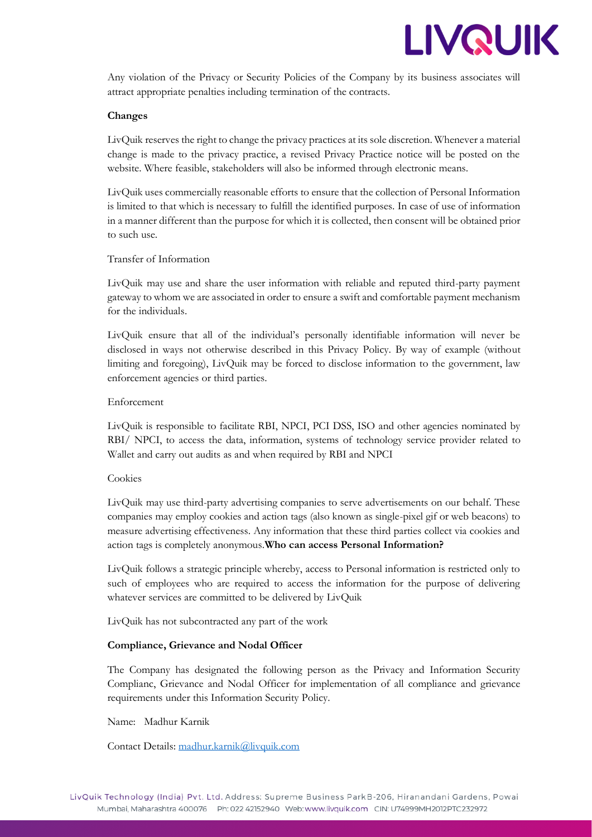

Any violation of the Privacy or Security Policies of the Company by its business associates will attract appropriate penalties including termination of the contracts.

## **Changes**

LivQuik reserves the right to change the privacy practices at its sole discretion. Whenever a material change is made to the privacy practice, a revised Privacy Practice notice will be posted on the website. Where feasible, stakeholders will also be informed through electronic means.

LivQuik uses commercially reasonable efforts to ensure that the collection of Personal Information is limited to that which is necessary to fulfill the identified purposes. In case of use of information in a manner different than the purpose for which it is collected, then consent will be obtained prior to such use.

## Transfer of Information

LivQuik may use and share the user information with reliable and reputed third-party payment gateway to whom we are associated in order to ensure a swift and comfortable payment mechanism for the individuals.

LivQuik ensure that all of the individual's personally identifiable information will never be disclosed in ways not otherwise described in this Privacy Policy. By way of example (without limiting and foregoing), LivQuik may be forced to disclose information to the government, law enforcement agencies or third parties.

## Enforcement

LivQuik is responsible to facilitate RBI, NPCI, PCI DSS, ISO and other agencies nominated by RBI/ NPCI, to access the data, information, systems of technology service provider related to Wallet and carry out audits as and when required by RBI and NPCI

#### Cookies

LivQuik may use third-party advertising companies to serve advertisements on our behalf. These companies may employ cookies and action tags (also known as single-pixel gif or web beacons) to measure advertising effectiveness. Any information that these third parties collect via cookies and action tags is completely anonymous.**Who can access Personal Information?**

LivQuik follows a strategic principle whereby, access to Personal information is restricted only to such of employees who are required to access the information for the purpose of delivering whatever services are committed to be delivered by LivQuik

LivQuik has not subcontracted any part of the work

#### **Compliance, Grievance and Nodal Officer**

The Company has designated the following person as the Privacy and Information Security Complianc, Grievance and Nodal Officer for implementation of all compliance and grievance requirements under this Information Security Policy.

#### Name: Madhur Karnik

Contact Details: [madhur.karnik@livquik.com](mailto:madhur.karnik@livquik.com)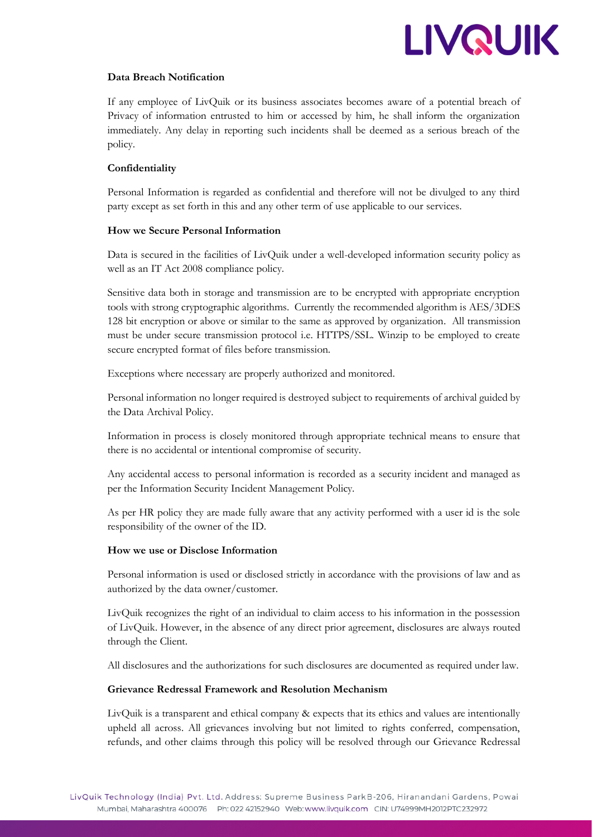

# **Data Breach Notification**

If any employee of LivQuik or its business associates becomes aware of a potential breach of Privacy of information entrusted to him or accessed by him, he shall inform the organization immediately. Any delay in reporting such incidents shall be deemed as a serious breach of the policy.

# **Confidentiality**

Personal Information is regarded as confidential and therefore will not be divulged to any third party except as set forth in this and any other term of use applicable to our services.

# **How we Secure Personal Information**

Data is secured in the facilities of LivQuik under a well-developed information security policy as well as an IT Act 2008 compliance policy.

Sensitive data both in storage and transmission are to be encrypted with appropriate encryption tools with strong cryptographic algorithms. Currently the recommended algorithm is AES/3DES 128 bit encryption or above or similar to the same as approved by organization. All transmission must be under secure transmission protocol i.e. HTTPS/SSL. Winzip to be employed to create secure encrypted format of files before transmission.

Exceptions where necessary are properly authorized and monitored.

Personal information no longer required is destroyed subject to requirements of archival guided by the Data Archival Policy.

Information in process is closely monitored through appropriate technical means to ensure that there is no accidental or intentional compromise of security.

Any accidental access to personal information is recorded as a security incident and managed as per the Information Security Incident Management Policy.

As per HR policy they are made fully aware that any activity performed with a user id is the sole responsibility of the owner of the ID.

# **How we use or Disclose Information**

Personal information is used or disclosed strictly in accordance with the provisions of law and as authorized by the data owner/customer.

LivQuik recognizes the right of an individual to claim access to his information in the possession of LivQuik. However, in the absence of any direct prior agreement, disclosures are always routed through the Client.

All disclosures and the authorizations for such disclosures are documented as required under law.

# **Grievance Redressal Framework and Resolution Mechanism**

LivQuik is a transparent and ethical company & expects that its ethics and values are intentionally upheld all across. All grievances involving but not limited to rights conferred, compensation, refunds, and other claims through this policy will be resolved through our Grievance Redressal